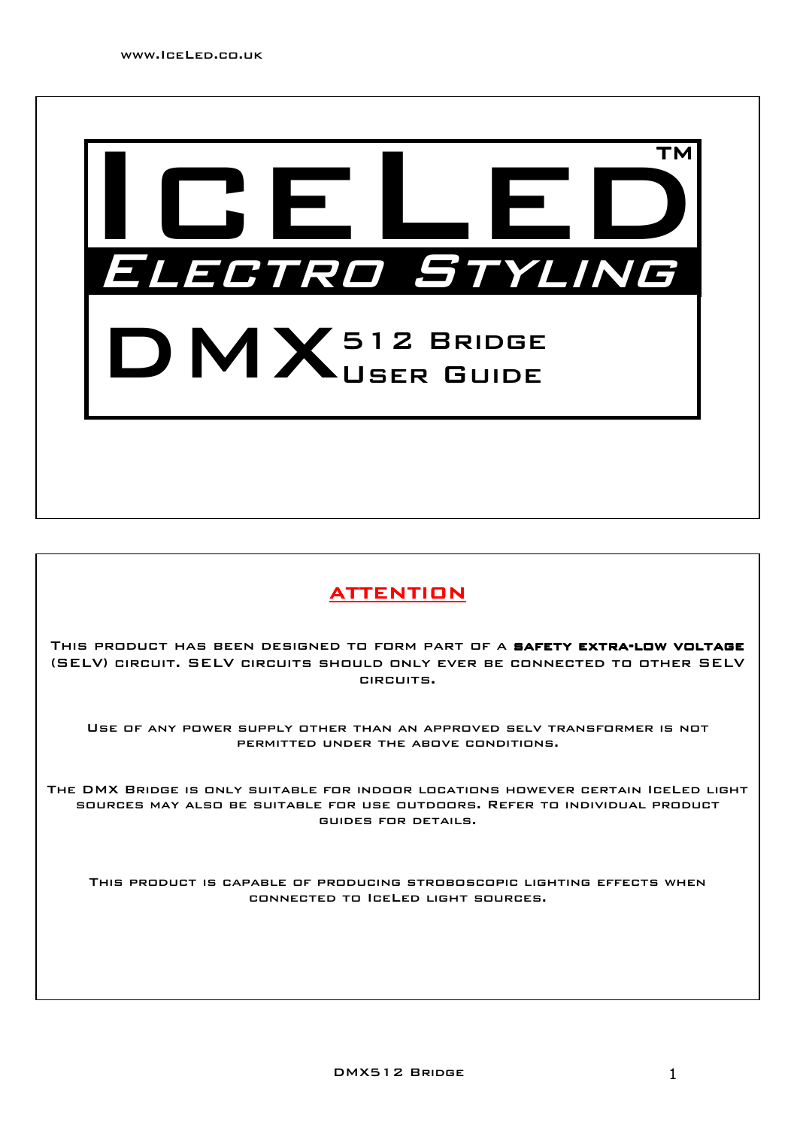

## **ATTENTION**

THIS PRODUCT HAS BEEN DESIGNED TO FORM PART OF A SAFETY EXTRA-LOW VOLTAGE (SELV) circuit. SELV circuits should only ever be connected to other SELV circuits.

Use of any power supply other than an approved selv transformer is not permitted under the above conditions.

The DMX Bridge is only suitable for indoor locations however certain IceLed light sources may also be suitable for use outdoors. Refer to individual product guides for details.

This product is capable of producing stroboscopic lighting effects when connected to IceLed light sources.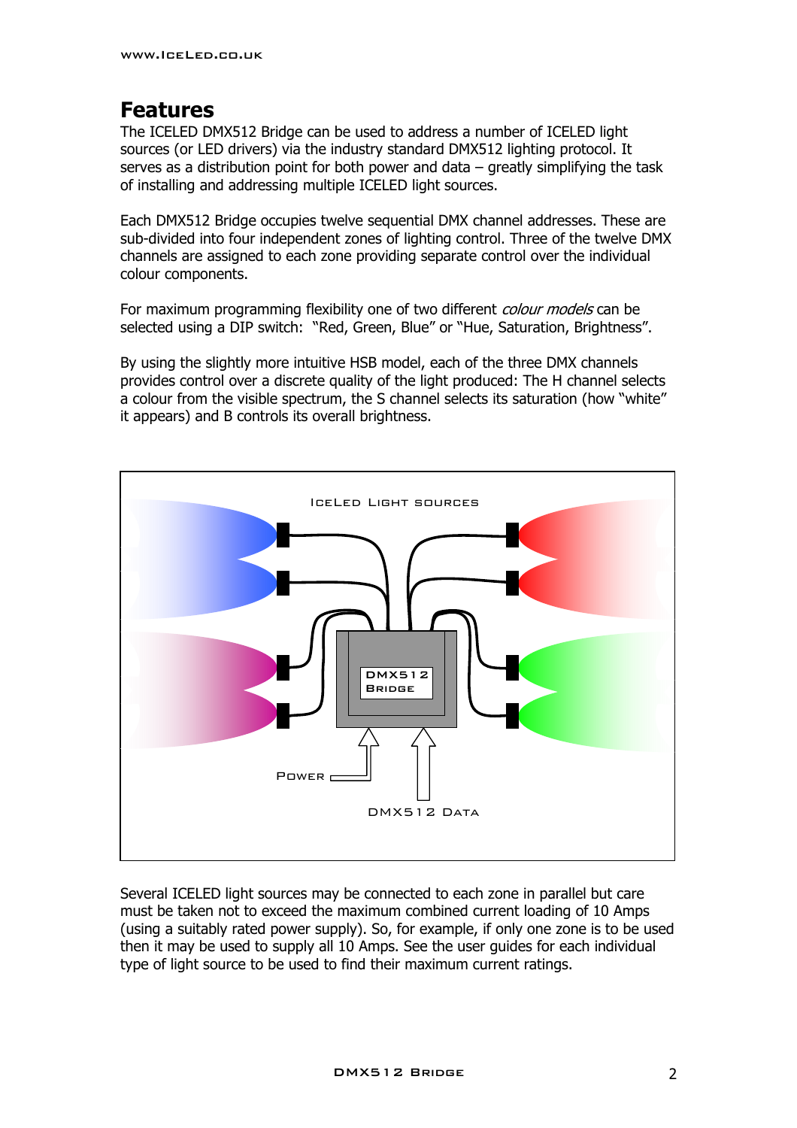## **Features**

The ICELED DMX512 Bridge can be used to address a number of ICELED light sources (or LED drivers) via the industry standard DMX512 lighting protocol. It serves as a distribution point for both power and data – greatly simplifying the task of installing and addressing multiple ICELED light sources.

Each DMX512 Bridge occupies twelve sequential DMX channel addresses. These are sub-divided into four independent zones of lighting control. Three of the twelve DMX channels are assigned to each zone providing separate control over the individual colour components.

For maximum programming flexibility one of two different *colour models* can be selected using a DIP switch: "Red, Green, Blue" or "Hue, Saturation, Brightness".

By using the slightly more intuitive HSB model, each of the three DMX channels provides control over a discrete quality of the light produced: The H channel selects a colour from the visible spectrum, the S channel selects its saturation (how "white" it appears) and B controls its overall brightness.



Several ICELED light sources may be connected to each zone in parallel but care must be taken not to exceed the maximum combined current loading of 10 Amps (using a suitably rated power supply). So, for example, if only one zone is to be used then it may be used to supply all 10 Amps. See the user guides for each individual type of light source to be used to find their maximum current ratings.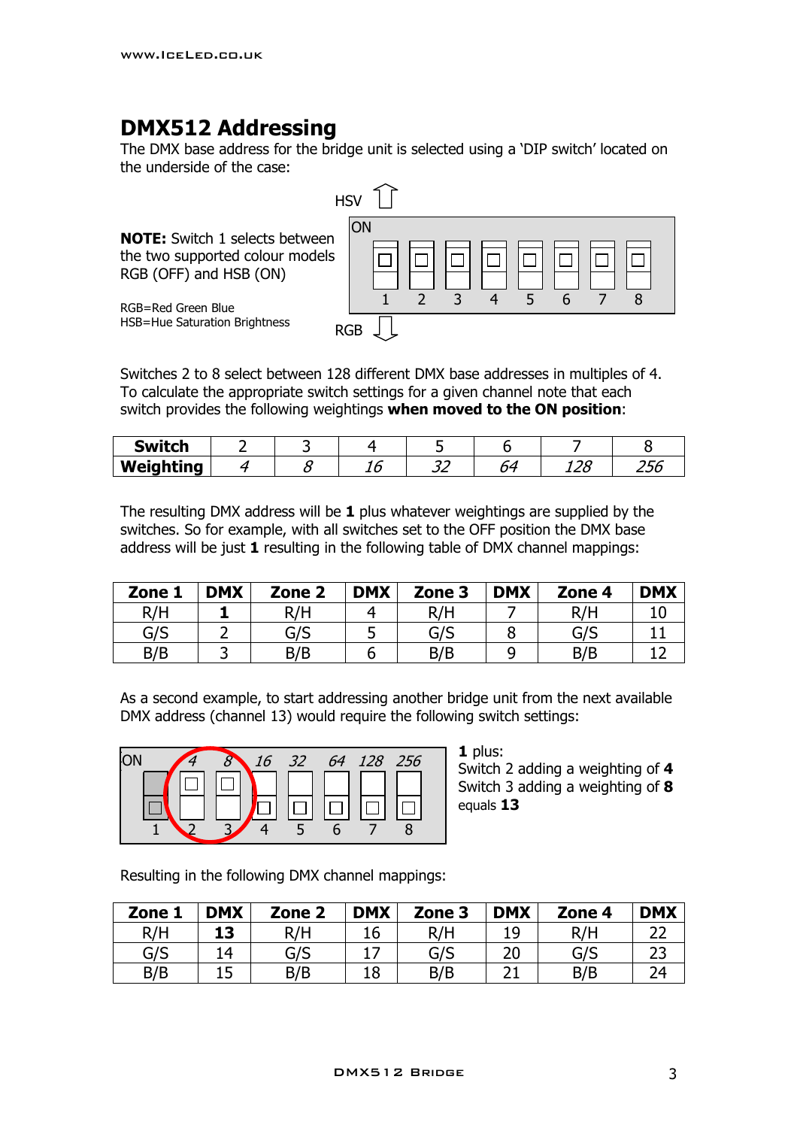## **DMX512 Addressing**

The DMX base address for the bridge unit is selected using a 'DIP switch' located on the underside of the case:



Switches 2 to 8 select between 128 different DMX base addresses in multiples of 4. To calculate the appropriate switch settings for a given channel note that each switch provides the following weightings **when moved to the ON position**:

| <b>Switch</b> |  |                     |                                 |                  |
|---------------|--|---------------------|---------------------------------|------------------|
| Weighting     |  | $\sim$ $\sim$<br>-- | $\overline{\phantom{a}}$<br>ᆂᆇᄔ | <u>__</u><br>250 |

The resulting DMX address will be **1** plus whatever weightings are supplied by the switches. So for example, with all switches set to the OFF position the DMX base address will be just **1** resulting in the following table of DMX channel mappings:

| Zone 1 | <b>DMX</b> | Zone <sub>2</sub> | <b>DMX</b> | Zone 3 | <b>DMX</b> | Zone 4 | <b>DMX</b> |
|--------|------------|-------------------|------------|--------|------------|--------|------------|
| R/H    |            | R/H               |            | R/H    |            | R/H    |            |
| G/S    |            | G/S               | ت          | G/S    |            | G/S    |            |
| B/B    |            | B/B               |            | B/B    |            | B/B    |            |

As a second example, to start addressing another bridge unit from the next available DMX address (channel 13) would require the following switch settings:



**1** plus: Switch 2 adding a weighting of **4** Switch 3 adding a weighting of **8** equals **13**

Resulting in the following DMX channel mappings:

| Zone 1 | <b>DMX</b> | Zone <sub>2</sub> | <b>DMX</b> | Zone 3 | <b>DMX</b> | Zone 4 | <b>DMX</b> |
|--------|------------|-------------------|------------|--------|------------|--------|------------|
| R/H    | 13         | R/H               | 16         | R/H    | 19         | R/H    |            |
| G/S    | 14         | G/S               | ⇁          | G/S    | 20         | G/S    |            |
| B/B    | 1 C<br>⊥J  | B/B               | 18         | B/B    |            | B/B    |            |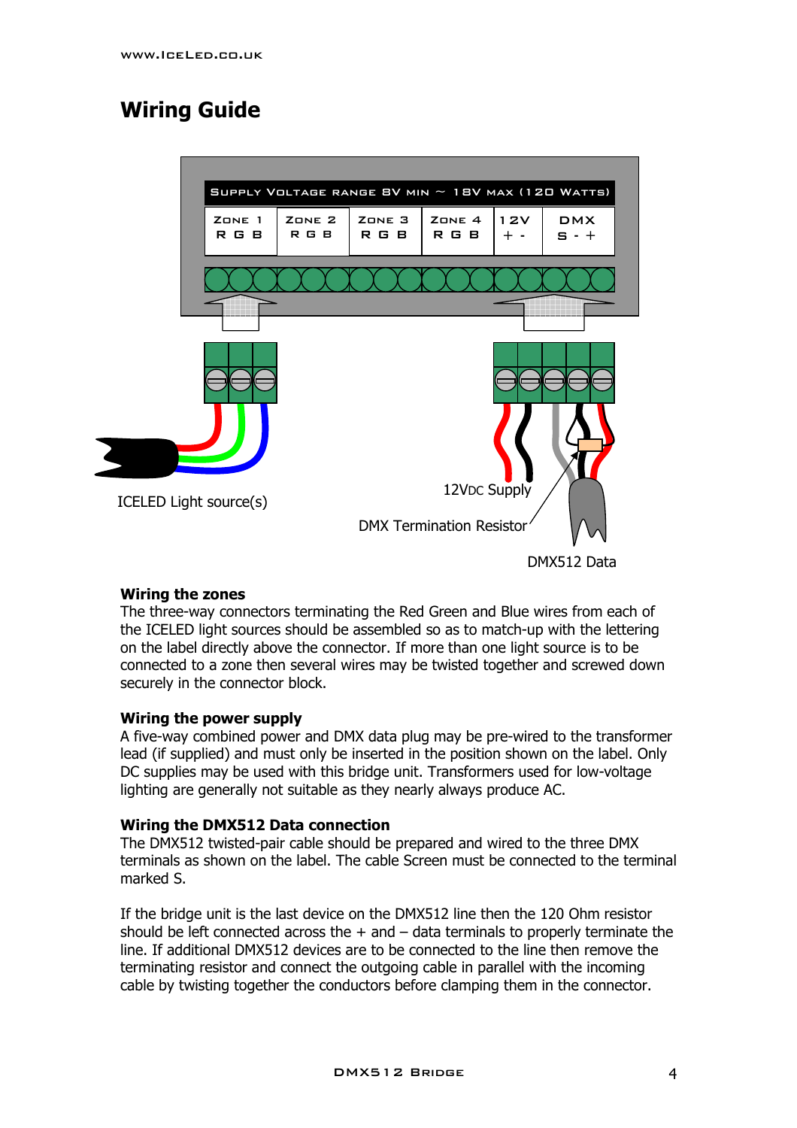# **Wiring Guide**



#### **Wiring the zones**

The three-way connectors terminating the Red Green and Blue wires from each of the ICELED light sources should be assembled so as to match-up with the lettering on the label directly above the connector. If more than one light source is to be connected to a zone then several wires may be twisted together and screwed down securely in the connector block.

#### **Wiring the power supply**

A five-way combined power and DMX data plug may be pre-wired to the transformer lead (if supplied) and must only be inserted in the position shown on the label. Only DC supplies may be used with this bridge unit. Transformers used for low-voltage lighting are generally not suitable as they nearly always produce AC.

#### **Wiring the DMX512 Data connection**

The DMX512 twisted-pair cable should be prepared and wired to the three DMX terminals as shown on the label. The cable Screen must be connected to the terminal marked S.

If the bridge unit is the last device on the DMX512 line then the 120 Ohm resistor should be left connected across the  $+$  and  $-$  data terminals to properly terminate the line. If additional DMX512 devices are to be connected to the line then remove the terminating resistor and connect the outgoing cable in parallel with the incoming cable by twisting together the conductors before clamping them in the connector.